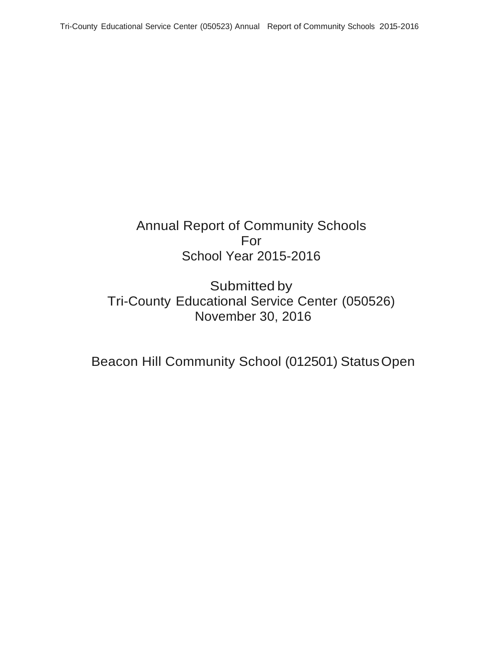# Annual Report of Community Schools For School Year 2015-2016

Submitted by Tri-County Educational Service Center (050526) November 30, 2016

Beacon Hill Community School (012501) StatusOpen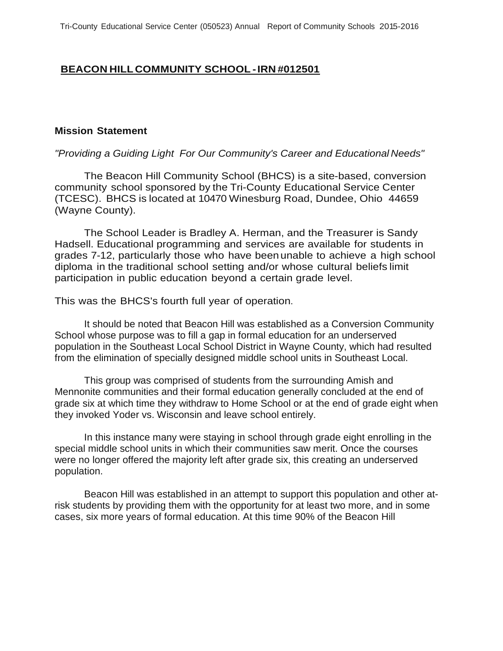## **BEACON HILL COMMUNITY SCHOOL - IRN #012501**

#### **Mission Statement**

#### *"Providing a Guiding Light For Our Community's Career and Educational Needs"*

The Beacon Hill Community School (BHCS) is a site-based, conversion community school sponsored by the Tri-County Educational Service Center (TCESC). BHCS is located at 10470 Winesburg Road, Dundee, Ohio 44659 (Wayne County).

The School Leader is Bradley A. Herman, and the Treasurer is Sandy Hadsell. Educational programming and services are available for students in grades 7-12, particularly those who have been unable to achieve a high school diploma in the traditional school setting and/or whose cultural beliefs limit participation in public education beyond a certain grade level.

This was the BHCS's fourth full year of operation.

It should be noted that Beacon Hill was established as a Conversion Community School whose purpose was to fill a gap in formal education for an underserved population in the Southeast Local School District in Wayne County, which had resulted from the elimination of specially designed middle school units in Southeast Local.

This group was comprised of students from the surrounding Amish and Mennonite communities and their formal education generally concluded at the end of grade six at which time they withdraw to Home School or at the end of grade eight when they invoked Yoder vs. Wisconsin and leave school entirely.

In this instance many were staying in school through grade eight enrolling in the special middle school units in which their communities saw merit. Once the courses were no longer offered the majority left after grade six, this creating an underserved population.

Beacon Hill was established in an attempt to support this population and other atrisk students by providing them with the opportunity for at least two more, and in some cases, six more years of formal education. At this time 90% of the Beacon Hill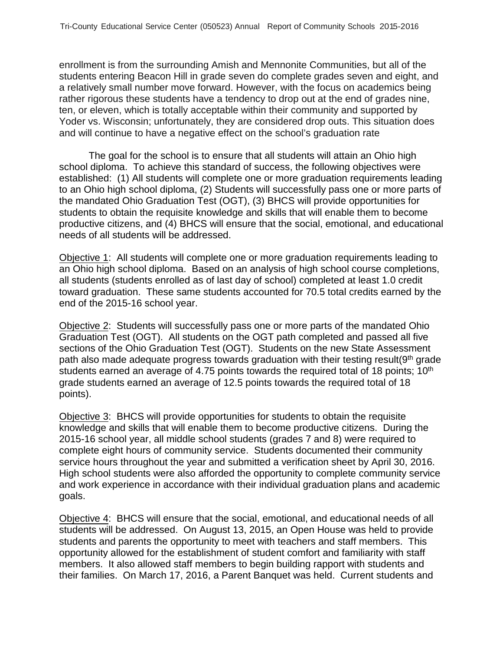enrollment is from the surrounding Amish and Mennonite Communities, but all of the students entering Beacon Hill in grade seven do complete grades seven and eight, and a relatively small number move forward. However, with the focus on academics being rather rigorous these students have a tendency to drop out at the end of grades nine, ten, or eleven, which is totally acceptable within their community and supported by Yoder vs. Wisconsin; unfortunately, they are considered drop outs. This situation does and will continue to have a negative effect on the school's graduation rate

The goal for the school is to ensure that all students will attain an Ohio high school diploma. To achieve this standard of success, the following objectives were established: (1) All students will complete one or more graduation requirements leading to an Ohio high school diploma, (2) Students will successfully pass one or more parts of the mandated Ohio Graduation Test (OGT), (3) BHCS will provide opportunities for students to obtain the requisite knowledge and skills that will enable them to become productive citizens, and (4) BHCS will ensure that the social, emotional, and educational needs of all students will be addressed.

Objective 1: All students will complete one or more graduation requirements leading to an Ohio high school diploma. Based on an analysis of high school course completions, all students (students enrolled as of last day of school) completed at least 1.0 credit toward graduation. These same students accounted for 70.5 total credits earned by the end of the 2015-16 school year.

Objective 2: Students will successfully pass one or more parts of the mandated Ohio Graduation Test (OGT). All students on the OGT path completed and passed all five sections of the Ohio Graduation Test (OGT). Students on the new State Assessment path also made adequate progress towards graduation with their testing result(9<sup>th</sup> grade students earned an average of 4.75 points towards the required total of 18 points;  $10<sup>th</sup>$ grade students earned an average of 12.5 points towards the required total of 18 points).

Objective 3: BHCS will provide opportunities for students to obtain the requisite knowledge and skills that will enable them to become productive citizens. During the 2015-16 school year, all middle school students (grades 7 and 8) were required to complete eight hours of community service. Students documented their community service hours throughout the year and submitted a verification sheet by April 30, 2016. High school students were also afforded the opportunity to complete community service and work experience in accordance with their individual graduation plans and academic goals.

Objective 4: BHCS will ensure that the social, emotional, and educational needs of all students will be addressed. On August 13, 2015, an Open House was held to provide students and parents the opportunity to meet with teachers and staff members. This opportunity allowed for the establishment of student comfort and familiarity with staff members. It also allowed staff members to begin building rapport with students and their families. On March 17, 2016, a Parent Banquet was held. Current students and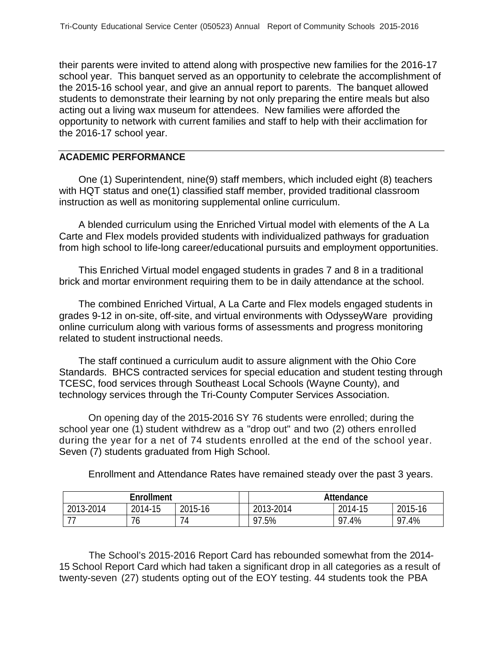their parents were invited to attend along with prospective new families for the 2016-17 school year. This banquet served as an opportunity to celebrate the accomplishment of the 2015-16 school year, and give an annual report to parents. The banquet allowed students to demonstrate their learning by not only preparing the entire meals but also acting out a living wax museum for attendees. New families were afforded the opportunity to network with current families and staff to help with their acclimation for the 2016-17 school year.

#### **ACADEMIC PERFORMANCE**

One (1) Superintendent, nine(9) staff members, which included eight (8) teachers with HQT status and one(1) classified staff member, provided traditional classroom instruction as well as monitoring supplemental online curriculum.

A blended curriculum using the Enriched Virtual model with elements of the A La Carte and Flex models provided students with individualized pathways for graduation from high school to life-long career/educational pursuits and employment opportunities.

This Enriched Virtual model engaged students in grades 7 and 8 in a traditional brick and mortar environment requiring them to be in daily attendance at the school.

The combined Enriched Virtual, A La Carte and Flex models engaged students in grades 9-12 in on-site, off-site, and virtual environments with OdysseyWare providing online curriculum along with various forms of assessments and progress monitoring related to student instructional needs.

The staff continued a curriculum audit to assure alignment with the Ohio Core Standards. BHCS contracted services for special education and student testing through TCESC, food services through Southeast Local Schools (Wayne County), and technology services through the Tri-County Computer Services Association.

On opening day of the 2015-2016 SY 76 students were enrolled; during the school year one (1) student withdrew as a "drop out" and two (2) others enrolled during the year for a net of 74 students enrolled at the end of the school year. Seven (7) students graduated from High School.

| Enrollment |         |         | Attendance |           |              |
|------------|---------|---------|------------|-----------|--------------|
| 2013-2014  | 2014-15 | 2015-16 | 2013-2014  | 2014-15   | 2015-16      |
|            | ס י     | '4      | 97.5%      | .4%<br>97 | $.4\%$<br>Q7 |

Enrollment and Attendance Rates have remained steady over the past 3 years.

The School's 2015-2016 Report Card has rebounded somewhat from the 2014- 15 School Report Card which had taken a significant drop in all categories as a result of twenty-seven (27) students opting out of the EOY testing. 44 students took the PBA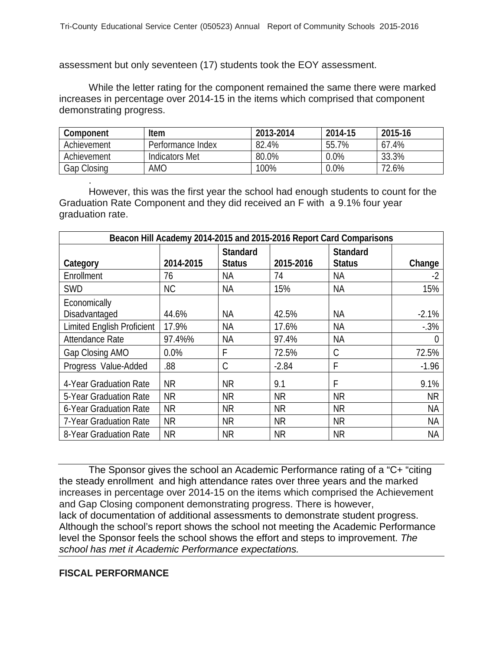assessment but only seventeen (17) students took the EOY assessment.

While the letter rating for the component remained the same there were marked increases in percentage over 2014-15 in the items which comprised that component demonstrating progress.

| Component   | <b>Item</b>           | 2013-2014 | 2014-15 | 2015-16     |
|-------------|-----------------------|-----------|---------|-------------|
| Achievement | Performance Index     | 82.4%     | 55.7%   | .4%<br>67   |
| Achievement | <b>Indicators Met</b> | 80.0%     | $0.0\%$ | 33.3%       |
| Gap Closing | amo                   | 100%      | 0.0%    | 2.6%<br>72. |

. However, this was the first year the school had enough students to count for the Graduation Rate Component and they did received an F with a 9.1% four year graduation rate.

| Beacon Hill Academy 2014-2015 and 2015-2016 Report Card Comparisons |           |                                  |           |                                  |                  |
|---------------------------------------------------------------------|-----------|----------------------------------|-----------|----------------------------------|------------------|
| Category                                                            | 2014-2015 | <b>Standard</b><br><b>Status</b> | 2015-2016 | <b>Standard</b><br><b>Status</b> | Change           |
| Enrollment                                                          | 76        | <b>NA</b>                        | 74        | <b>NA</b>                        | $-2$             |
| <b>SWD</b>                                                          | <b>NC</b> | <b>NA</b>                        | 15%       | <b>NA</b>                        | 15%              |
| Economically<br>Disadvantaged                                       | 44.6%     | <b>NA</b>                        | 42.5%     | <b>NA</b>                        | $-2.1%$          |
| <b>Limited English Proficient</b>                                   | 17.9%     | <b>NA</b>                        | 17.6%     | <b>NA</b>                        | $-0.3%$          |
| Attendance Rate                                                     | 97.4%%    | <b>NA</b>                        | 97.4%     | <b>NA</b>                        | $\left( \right)$ |
| Gap Closing AMO                                                     | 0.0%      | F                                | 72.5%     | C                                | 72.5%            |
| Progress Value-Added                                                | .88       | $\mathcal{C}$                    | $-2.84$   | F                                | $-1.96$          |
| 4-Year Graduation Rate                                              | <b>NR</b> | <b>NR</b>                        | 9.1       | F                                | 9.1%             |
| 5-Year Graduation Rate                                              | <b>NR</b> | <b>NR</b>                        | <b>NR</b> | <b>NR</b>                        | <b>NR</b>        |
| 6-Year Graduation Rate                                              | <b>NR</b> | <b>NR</b>                        | <b>NR</b> | <b>NR</b>                        | <b>NA</b>        |
| 7-Year Graduation Rate                                              | <b>NR</b> | <b>NR</b>                        | <b>NR</b> | <b>NR</b>                        | <b>NA</b>        |
| 8-Year Graduation Rate                                              | <b>NR</b> | <b>NR</b>                        | <b>NR</b> | <b>NR</b>                        | ΝA               |

The Sponsor gives the school an Academic Performance rating of a "C+ "citing the steady enrollment and high attendance rates over three years and the marked increases in percentage over 2014-15 on the items which comprised the Achievement and Gap Closing component demonstrating progress. There is however, lack of documentation of additional assessments to demonstrate student progress. Although the school's report shows the school not meeting the Academic Performance level the Sponsor feels the school shows the effort and steps to improvement. *The school has met it Academic Performance expectations.*

## **FISCAL PERFORMANCE**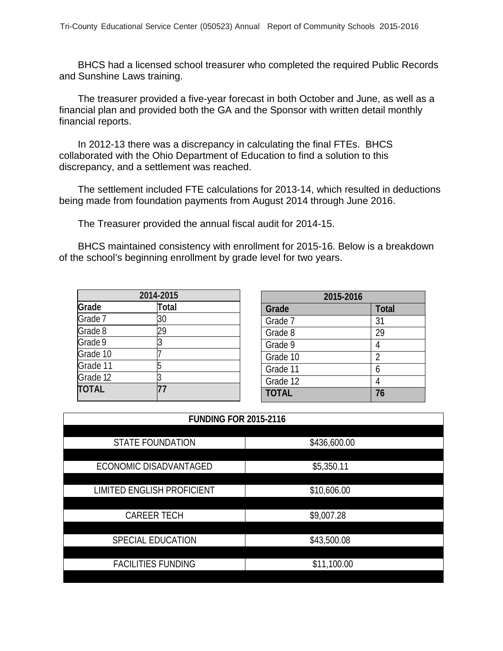BHCS had a licensed school treasurer who completed the required Public Records and Sunshine Laws training.

The treasurer provided a five-year forecast in both October and June, as well as a financial plan and provided both the GA and the Sponsor with written detail monthly financial reports.

In 2012-13 there was a discrepancy in calculating the final FTEs. BHCS collaborated with the Ohio Department of Education to find a solution to this discrepancy, and a settlement was reached.

The settlement included FTE calculations for 2013-14, which resulted in deductions being made from foundation payments from August 2014 through June 2016.

The Treasurer provided the annual fiscal audit for 2014-15.

BHCS maintained consistency with enrollment for 2015-16. Below is a breakdown of the school's beginning enrollment by grade level for two years.

| 2014-2015    |       |  |
|--------------|-------|--|
| Grade        | Total |  |
| Grade 7      | 30    |  |
| Grade 8      | 29    |  |
| Grade 9      | 3     |  |
| Grade 10     |       |  |
| Grade 11     |       |  |
| Grade 12     |       |  |
| <b>TOTAL</b> |       |  |

| 2015-2016    |                |  |
|--------------|----------------|--|
| Grade        | <b>Total</b>   |  |
| Grade 7      | 31             |  |
| Grade 8      | 29             |  |
| Grade 9      | 4              |  |
| Grade 10     | $\overline{2}$ |  |
| Grade 11     | 6              |  |
| Grade 12     |                |  |
| <b>TOTAL</b> | 76             |  |

| <b>FUNDING FOR 2015-2116</b>      |              |  |  |  |
|-----------------------------------|--------------|--|--|--|
|                                   |              |  |  |  |
| <b>STATE FOUNDATION</b>           | \$436,600.00 |  |  |  |
|                                   |              |  |  |  |
| ECONOMIC DISADVANTAGED            | \$5,350.11   |  |  |  |
|                                   |              |  |  |  |
| <b>LIMITED ENGLISH PROFICIENT</b> | \$10,606.00  |  |  |  |
|                                   |              |  |  |  |
| <b>CAREER TECH</b>                | \$9,007.28   |  |  |  |
|                                   |              |  |  |  |
| SPECIAL EDUCATION                 | \$43,500.08  |  |  |  |
|                                   |              |  |  |  |
| <b>FACILITIES FUNDING</b>         | \$11,100.00  |  |  |  |
|                                   |              |  |  |  |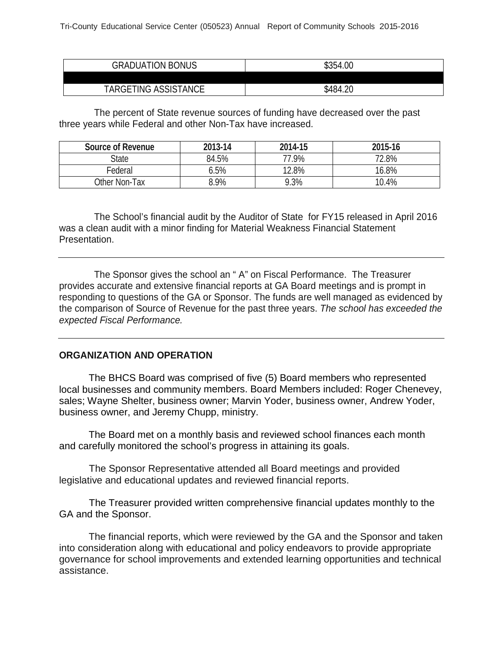| <b>GRADUATION BONUS</b> | \$354.00 |
|-------------------------|----------|
|                         |          |
| TARGETING ASSISTANCE    | \$484.20 |

The percent of State revenue sources of funding have decreased over the past three years while Federal and other Non-Tax have increased.

| Source of Revenue | 2013-14 | 2014-15 | 2015-16 |
|-------------------|---------|---------|---------|
| <b>State</b>      | 84.5%   | 77.9%   | 72.8%   |
| Federal           | 5%,     | 12.8%   | 16.8%   |
| Other Non-Tax     | 8.9%    | 9.3%    | 10.4%   |

The School's financial audit by the Auditor of State for FY15 released in April 2016 was a clean audit with a minor finding for Material Weakness Financial Statement Presentation.

The Sponsor gives the school an " A" on Fiscal Performance. The Treasurer provides accurate and extensive financial reports at GA Board meetings and is prompt in responding to questions of the GA or Sponsor. The funds are well managed as evidenced by the comparison of Source of Revenue for the past three years. *The school has exceeded the expected Fiscal Performance.*

### **ORGANIZATION AND OPERATION**

The BHCS Board was comprised of five (5) Board members who represented local businesses and community members. Board Members included: Roger Chenevey, sales; Wayne Shelter, business owner; Marvin Yoder, business owner, Andrew Yoder, business owner, and Jeremy Chupp, ministry.

The Board met on a monthly basis and reviewed school finances each month and carefully monitored the school's progress in attaining its goals.

The Sponsor Representative attended all Board meetings and provided legislative and educational updates and reviewed financial reports.

The Treasurer provided written comprehensive financial updates monthly to the GA and the Sponsor.

The financial reports, which were reviewed by the GA and the Sponsor and taken into consideration along with educational and policy endeavors to provide appropriate governance for school improvements and extended learning opportunities and technical assistance.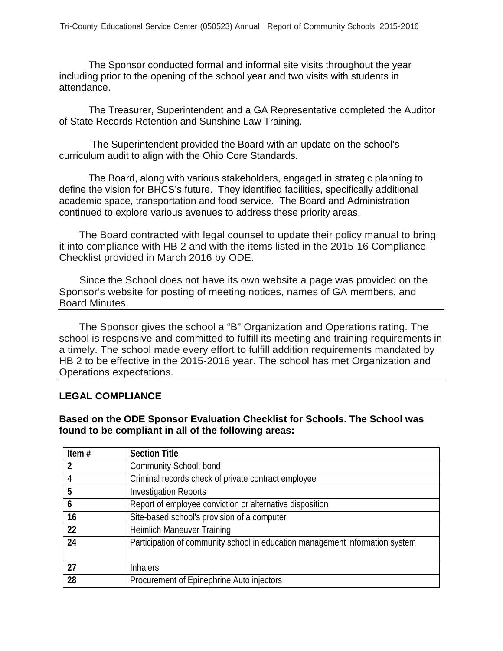The Sponsor conducted formal and informal site visits throughout the year including prior to the opening of the school year and two visits with students in attendance.

The Treasurer, Superintendent and a GA Representative completed the Auditor of State Records Retention and Sunshine Law Training.

The Superintendent provided the Board with an update on the school's curriculum audit to align with the Ohio Core Standards.

The Board, along with various stakeholders, engaged in strategic planning to define the vision for BHCS's future. They identified facilities, specifically additional academic space, transportation and food service. The Board and Administration continued to explore various avenues to address these priority areas.

The Board contracted with legal counsel to update their policy manual to bring it into compliance with HB 2 and with the items listed in the 2015-16 Compliance Checklist provided in March 2016 by ODE.

Since the School does not have its own website a page was provided on the Sponsor's website for posting of meeting notices, names of GA members, and Board Minutes.

The Sponsor gives the school a "B" Organization and Operations rating. The school is responsive and committed to fulfill its meeting and training requirements in a timely. The school made every effort to fulfill addition requirements mandated by HB 2 to be effective in the 2015-2016 year. The school has met Organization and Operations expectations.

## **LEGAL COMPLIANCE**

**Based on the ODE Sponsor Evaluation Checklist for Schools. The School was found to be compliant in all of the following areas:**

| Item $#$ | <b>Section Title</b>                                                         |
|----------|------------------------------------------------------------------------------|
| -2       | Community School; bond                                                       |
| 4        | Criminal records check of private contract employee                          |
| 5        | <b>Investigation Reports</b>                                                 |
| 6        | Report of employee conviction or alternative disposition                     |
| 16       | Site-based school's provision of a computer                                  |
| 22       | <b>Heimlich Maneuver Training</b>                                            |
| 24       | Participation of community school in education management information system |
|          |                                                                              |
| 27       | <b>Inhalers</b>                                                              |
| 28       | Procurement of Epinephrine Auto injectors                                    |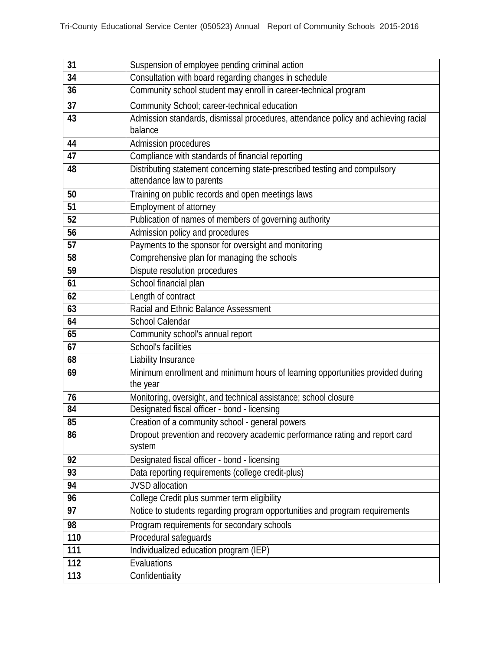| 31  | Suspension of employee pending criminal action                                             |
|-----|--------------------------------------------------------------------------------------------|
| 34  | Consultation with board regarding changes in schedule                                      |
| 36  | Community school student may enroll in career-technical program                            |
| 37  | Community School; career-technical education                                               |
| 43  | Admission standards, dismissal procedures, attendance policy and achieving racial          |
|     | balance                                                                                    |
| 44  | Admission procedures                                                                       |
| 47  | Compliance with standards of financial reporting                                           |
| 48  | Distributing statement concerning state-prescribed testing and compulsory                  |
|     | attendance law to parents                                                                  |
| 50  | Training on public records and open meetings laws                                          |
| 51  | Employment of attorney                                                                     |
| 52  | Publication of names of members of governing authority                                     |
| 56  | Admission policy and procedures                                                            |
| 57  | Payments to the sponsor for oversight and monitoring                                       |
| 58  | Comprehensive plan for managing the schools                                                |
| 59  | Dispute resolution procedures                                                              |
| 61  | School financial plan                                                                      |
| 62  | Length of contract                                                                         |
| 63  | Racial and Ethnic Balance Assessment                                                       |
| 64  | <b>School Calendar</b>                                                                     |
| 65  | Community school's annual report                                                           |
| 67  | <b>School's facilities</b>                                                                 |
| 68  | Liability Insurance                                                                        |
| 69  | Minimum enrollment and minimum hours of learning opportunities provided during<br>the year |
| 76  | Monitoring, oversight, and technical assistance; school closure                            |
| 84  | Designated fiscal officer - bond - licensing                                               |
| 85  | Creation of a community school - general powers                                            |
| 86  | Dropout prevention and recovery academic performance rating and report card<br>system      |
| 92  | Designated fiscal officer - bond - licensing                                               |
| 93  | Data reporting requirements (college credit-plus)                                          |
| 94  | <b>JVSD</b> allocation                                                                     |
| 96  | College Credit plus summer term eligibility                                                |
| 97  | Notice to students regarding program opportunities and program requirements                |
| 98  | Program requirements for secondary schools                                                 |
| 110 | Procedural safeguards                                                                      |
| 111 | Individualized education program (IEP)                                                     |
| 112 | Evaluations                                                                                |
| 113 | Confidentiality                                                                            |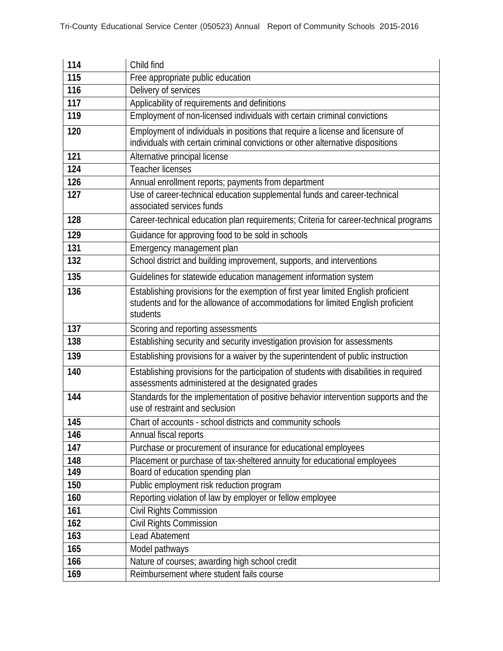| 114 | Child find                                                                                                                                                                        |
|-----|-----------------------------------------------------------------------------------------------------------------------------------------------------------------------------------|
| 115 | Free appropriate public education                                                                                                                                                 |
| 116 | Delivery of services                                                                                                                                                              |
| 117 | Applicability of requirements and definitions                                                                                                                                     |
| 119 | Employment of non-licensed individuals with certain criminal convictions                                                                                                          |
| 120 | Employment of individuals in positions that require a license and licensure of<br>individuals with certain criminal convictions or other alternative dispositions                 |
| 121 | Alternative principal license                                                                                                                                                     |
| 124 | <b>Teacher licenses</b>                                                                                                                                                           |
| 126 | Annual enrollment reports; payments from department                                                                                                                               |
| 127 | Use of career-technical education supplemental funds and career-technical<br>associated services funds                                                                            |
| 128 | Career-technical education plan requirements; Criteria for career-technical programs                                                                                              |
| 129 | Guidance for approving food to be sold in schools                                                                                                                                 |
| 131 | Emergency management plan                                                                                                                                                         |
| 132 | School district and building improvement, supports, and interventions                                                                                                             |
| 135 | Guidelines for statewide education management information system                                                                                                                  |
| 136 | Establishing provisions for the exemption of first year limited English proficient<br>students and for the allowance of accommodations for limited English proficient<br>students |
| 137 | Scoring and reporting assessments                                                                                                                                                 |
| 138 | Establishing security and security investigation provision for assessments                                                                                                        |
| 139 | Establishing provisions for a waiver by the superintendent of public instruction                                                                                                  |
| 140 | Establishing provisions for the participation of students with disabilities in required<br>assessments administered at the designated grades                                      |
| 144 | Standards for the implementation of positive behavior intervention supports and the<br>use of restraint and seclusion                                                             |
| 145 | Chart of accounts - school districts and community schools                                                                                                                        |
| 146 | Annual fiscal reports                                                                                                                                                             |
| 147 | Purchase or procurement of insurance for educational employees                                                                                                                    |
| 148 | Placement or purchase of tax-sheltered annuity for educational employees                                                                                                          |
| 149 | Board of education spending plan                                                                                                                                                  |
| 150 | Public employment risk reduction program                                                                                                                                          |
| 160 | Reporting violation of law by employer or fellow employee                                                                                                                         |
| 161 | Civil Rights Commission                                                                                                                                                           |
| 162 | Civil Rights Commission                                                                                                                                                           |
| 163 | Lead Abatement                                                                                                                                                                    |
| 165 | Model pathways                                                                                                                                                                    |
| 166 | Nature of courses; awarding high school credit                                                                                                                                    |
| 169 | Reimbursement where student fails course                                                                                                                                          |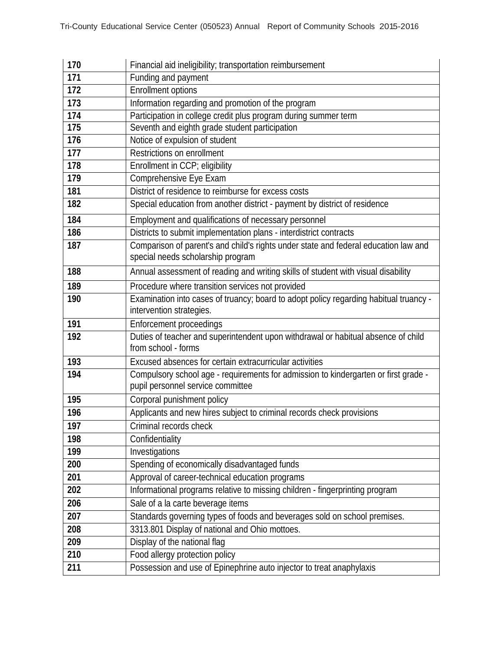| 170 | Financial aid ineligibility; transportation reimbursement                                                                |
|-----|--------------------------------------------------------------------------------------------------------------------------|
| 171 | Funding and payment                                                                                                      |
| 172 | Enrollment options                                                                                                       |
| 173 | Information regarding and promotion of the program                                                                       |
| 174 | Participation in college credit plus program during summer term                                                          |
| 175 | Seventh and eighth grade student participation                                                                           |
| 176 | Notice of expulsion of student                                                                                           |
| 177 | Restrictions on enrollment                                                                                               |
| 178 | Enrollment in CCP; eligibility                                                                                           |
| 179 | Comprehensive Eye Exam                                                                                                   |
| 181 | District of residence to reimburse for excess costs                                                                      |
| 182 | Special education from another district - payment by district of residence                                               |
| 184 | Employment and qualifications of necessary personnel                                                                     |
| 186 | Districts to submit implementation plans - interdistrict contracts                                                       |
| 187 | Comparison of parent's and child's rights under state and federal education law and<br>special needs scholarship program |
| 188 | Annual assessment of reading and writing skills of student with visual disability                                        |
| 189 | Procedure where transition services not provided                                                                         |
| 190 | Examination into cases of truancy; board to adopt policy regarding habitual truancy -<br>intervention strategies.        |
| 191 | Enforcement proceedings                                                                                                  |
| 192 | Duties of teacher and superintendent upon withdrawal or habitual absence of child<br>from school - forms                 |
| 193 | Excused absences for certain extracurricular activities                                                                  |
| 194 | Compulsory school age - requirements for admission to kindergarten or first grade -<br>pupil personnel service committee |
| 195 | Corporal punishment policy                                                                                               |
| 196 | Applicants and new hires subject to criminal records check provisions                                                    |
| 197 | Criminal records check                                                                                                   |
| 198 | Confidentiality                                                                                                          |
| 199 | Investigations                                                                                                           |
| 200 | Spending of economically disadvantaged funds                                                                             |
| 201 | Approval of career-technical education programs                                                                          |
| 202 | Informational programs relative to missing children - fingerprinting program                                             |
| 206 | Sale of a la carte beverage items                                                                                        |
| 207 | Standards governing types of foods and beverages sold on school premises.                                                |
| 208 | 3313.801 Display of national and Ohio mottoes.                                                                           |
| 209 | Display of the national flag                                                                                             |
| 210 | Food allergy protection policy                                                                                           |
| 211 | Possession and use of Epinephrine auto injector to treat anaphylaxis                                                     |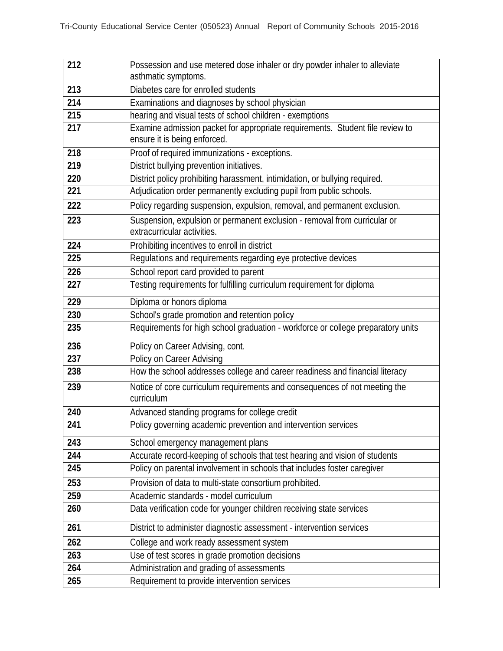| 212 | Possession and use metered dose inhaler or dry powder inhaler to alleviate                               |  |  |
|-----|----------------------------------------------------------------------------------------------------------|--|--|
| 213 | asthmatic symptoms.<br>Diabetes care for enrolled students                                               |  |  |
| 214 | Examinations and diagnoses by school physician                                                           |  |  |
| 215 | hearing and visual tests of school children - exemptions                                                 |  |  |
| 217 | Examine admission packet for appropriate requirements. Student file review to                            |  |  |
|     | ensure it is being enforced.                                                                             |  |  |
| 218 | Proof of required immunizations - exceptions.                                                            |  |  |
| 219 | District bullying prevention initiatives.                                                                |  |  |
| 220 | District policy prohibiting harassment, intimidation, or bullying required.                              |  |  |
| 221 | Adjudication order permanently excluding pupil from public schools.                                      |  |  |
| 222 | Policy regarding suspension, expulsion, removal, and permanent exclusion.                                |  |  |
| 223 | Suspension, expulsion or permanent exclusion - removal from curricular or<br>extracurricular activities. |  |  |
| 224 | Prohibiting incentives to enroll in district                                                             |  |  |
| 225 | Regulations and requirements regarding eye protective devices                                            |  |  |
| 226 | School report card provided to parent                                                                    |  |  |
| 227 | Testing requirements for fulfilling curriculum requirement for diploma                                   |  |  |
| 229 | Diploma or honors diploma                                                                                |  |  |
| 230 | School's grade promotion and retention policy                                                            |  |  |
| 235 | Requirements for high school graduation - workforce or college preparatory units                         |  |  |
| 236 | Policy on Career Advising, cont.                                                                         |  |  |
| 237 | Policy on Career Advising                                                                                |  |  |
| 238 | How the school addresses college and career readiness and financial literacy                             |  |  |
| 239 | Notice of core curriculum requirements and consequences of not meeting the<br>curriculum                 |  |  |
| 240 | Advanced standing programs for college credit                                                            |  |  |
| 241 | Policy governing academic prevention and intervention services                                           |  |  |
| 243 | School emergency management plans                                                                        |  |  |
| 244 | Accurate record-keeping of schools that test hearing and vision of students                              |  |  |
| 245 | Policy on parental involvement in schools that includes foster caregiver                                 |  |  |
| 253 | Provision of data to multi-state consortium prohibited.                                                  |  |  |
| 259 | Academic standards - model curriculum                                                                    |  |  |
| 260 | Data verification code for younger children receiving state services                                     |  |  |
| 261 | District to administer diagnostic assessment - intervention services                                     |  |  |
| 262 | College and work ready assessment system                                                                 |  |  |
| 263 | Use of test scores in grade promotion decisions                                                          |  |  |
| 264 | Administration and grading of assessments                                                                |  |  |
| 265 | Requirement to provide intervention services                                                             |  |  |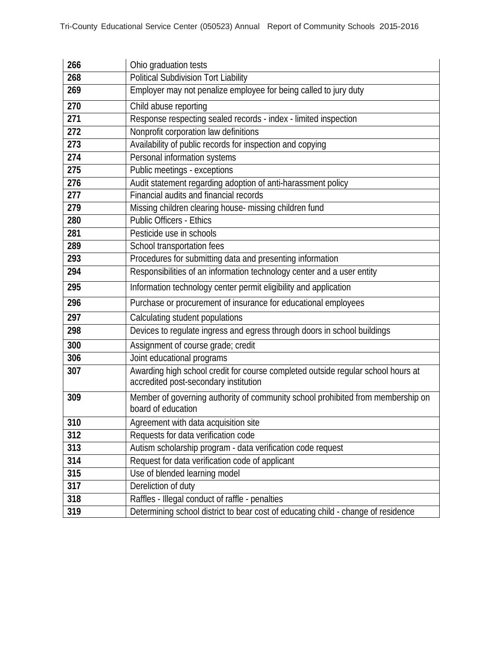| 266 | Ohio graduation tests                                                                                                     |  |  |
|-----|---------------------------------------------------------------------------------------------------------------------------|--|--|
| 268 | Political Subdivision Tort Liability                                                                                      |  |  |
| 269 | Employer may not penalize employee for being called to jury duty                                                          |  |  |
| 270 | Child abuse reporting                                                                                                     |  |  |
| 271 | Response respecting sealed records - index - limited inspection                                                           |  |  |
| 272 | Nonprofit corporation law definitions                                                                                     |  |  |
| 273 | Availability of public records for inspection and copying                                                                 |  |  |
| 274 | Personal information systems                                                                                              |  |  |
| 275 | Public meetings - exceptions                                                                                              |  |  |
| 276 | Audit statement regarding adoption of anti-harassment policy                                                              |  |  |
| 277 | Financial audits and financial records                                                                                    |  |  |
| 279 | Missing children clearing house- missing children fund                                                                    |  |  |
| 280 | <b>Public Officers - Ethics</b>                                                                                           |  |  |
| 281 | Pesticide use in schools                                                                                                  |  |  |
| 289 | School transportation fees                                                                                                |  |  |
| 293 | Procedures for submitting data and presenting information                                                                 |  |  |
| 294 | Responsibilities of an information technology center and a user entity                                                    |  |  |
| 295 | Information technology center permit eligibility and application                                                          |  |  |
| 296 | Purchase or procurement of insurance for educational employees                                                            |  |  |
| 297 | Calculating student populations                                                                                           |  |  |
| 298 | Devices to regulate ingress and egress through doors in school buildings                                                  |  |  |
| 300 | Assignment of course grade; credit                                                                                        |  |  |
| 306 | Joint educational programs                                                                                                |  |  |
| 307 | Awarding high school credit for course completed outside regular school hours at<br>accredited post-secondary institution |  |  |
| 309 | Member of governing authority of community school prohibited from membership on<br>board of education                     |  |  |
| 310 | Agreement with data acquisition site                                                                                      |  |  |
| 312 | Requests for data verification code                                                                                       |  |  |
| 313 | Autism scholarship program - data verification code request                                                               |  |  |
| 314 | Request for data verification code of applicant                                                                           |  |  |
| 315 | Use of blended learning model                                                                                             |  |  |
| 317 | Dereliction of duty                                                                                                       |  |  |
| 318 | Raffles - Illegal conduct of raffle - penalties                                                                           |  |  |
| 319 | Determining school district to bear cost of educating child - change of residence                                         |  |  |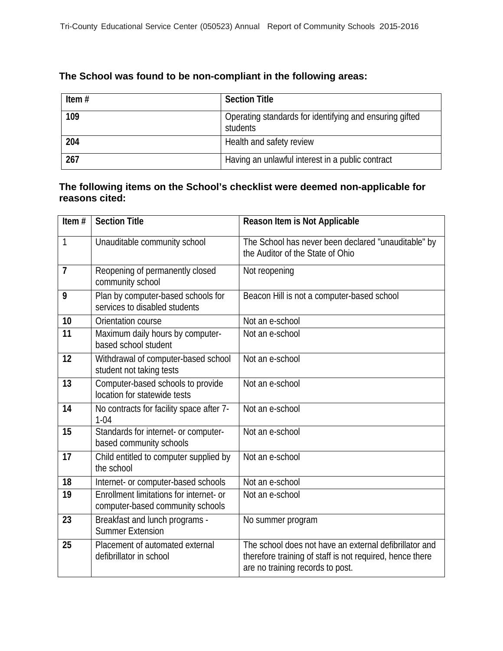# **The School was found to be non-compliant in the following areas:**

| Item $#$ | <b>Section Title</b>                                                |
|----------|---------------------------------------------------------------------|
| 109      | Operating standards for identifying and ensuring gifted<br>students |
| 204      | Health and safety review                                            |
| 267      | Having an unlawful interest in a public contract                    |

## **The following items on the School's checklist were deemed non-applicable for reasons cited:**

| Item#          | <b>Section Title</b>                                                        | Reason Item is Not Applicable                                                                                                                          |
|----------------|-----------------------------------------------------------------------------|--------------------------------------------------------------------------------------------------------------------------------------------------------|
| 1              | Unauditable community school                                                | The School has never been declared "unauditable" by<br>the Auditor of the State of Ohio                                                                |
| $\overline{7}$ | Reopening of permanently closed<br>community school                         | Not reopening                                                                                                                                          |
| 9              | Plan by computer-based schools for<br>services to disabled students         | Beacon Hill is not a computer-based school                                                                                                             |
| 10             | Orientation course                                                          | Not an e-school                                                                                                                                        |
| 11             | Maximum daily hours by computer-<br>based school student                    | Not an e-school                                                                                                                                        |
| 12             | Withdrawal of computer-based school<br>student not taking tests             | Not an e-school                                                                                                                                        |
| 13             | Computer-based schools to provide<br>location for statewide tests           | Not an e-school                                                                                                                                        |
| 14             | No contracts for facility space after 7-<br>$1 - 04$                        | Not an e-school                                                                                                                                        |
| 15             | Standards for internet- or computer-<br>based community schools             | Not an e-school                                                                                                                                        |
| 17             | Child entitled to computer supplied by<br>the school                        | Not an e-school                                                                                                                                        |
| 18             | Internet- or computer-based schools                                         | Not an e-school                                                                                                                                        |
| 19             | Enrollment limitations for internet- or<br>computer-based community schools | Not an e-school                                                                                                                                        |
| 23             | Breakfast and lunch programs -<br><b>Summer Extension</b>                   | No summer program                                                                                                                                      |
| 25             | Placement of automated external<br>defibrillator in school                  | The school does not have an external defibrillator and<br>therefore training of staff is not required, hence there<br>are no training records to post. |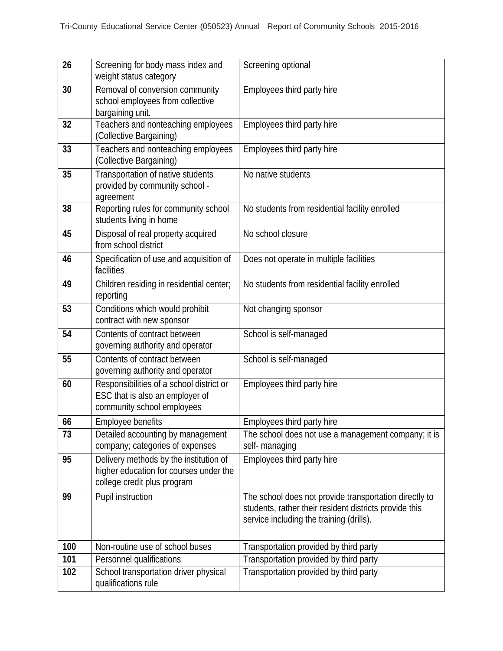| 26  | Screening for body mass index and<br>weight status category                                                     | Screening optional                                                                                                                                           |
|-----|-----------------------------------------------------------------------------------------------------------------|--------------------------------------------------------------------------------------------------------------------------------------------------------------|
| 30  | Removal of conversion community<br>school employees from collective<br>bargaining unit.                         | Employees third party hire                                                                                                                                   |
| 32  | Teachers and nonteaching employees<br>(Collective Bargaining)                                                   | Employees third party hire                                                                                                                                   |
| 33  | Teachers and nonteaching employees<br>(Collective Bargaining)                                                   | Employees third party hire                                                                                                                                   |
| 35  | Transportation of native students<br>provided by community school -<br>agreement                                | No native students                                                                                                                                           |
| 38  | Reporting rules for community school<br>students living in home                                                 | No students from residential facility enrolled                                                                                                               |
| 45  | Disposal of real property acquired<br>from school district                                                      | No school closure                                                                                                                                            |
| 46  | Specification of use and acquisition of<br>facilities                                                           | Does not operate in multiple facilities                                                                                                                      |
| 49  | Children residing in residential center;<br>reporting                                                           | No students from residential facility enrolled                                                                                                               |
| 53  | Conditions which would prohibit<br>contract with new sponsor                                                    | Not changing sponsor                                                                                                                                         |
| 54  | Contents of contract between<br>governing authority and operator                                                | School is self-managed                                                                                                                                       |
| 55  | Contents of contract between<br>governing authority and operator                                                | School is self-managed                                                                                                                                       |
| 60  | Responsibilities of a school district or<br>ESC that is also an employer of<br>community school employees       | Employees third party hire                                                                                                                                   |
| 66  | <b>Employee benefits</b>                                                                                        | Employees third party hire                                                                                                                                   |
| 73  | Detailed accounting by management<br>company; categories of expenses                                            | The school does not use a management company; it is<br>self-managing                                                                                         |
| 95  | Delivery methods by the institution of<br>higher education for courses under the<br>college credit plus program | Employees third party hire                                                                                                                                   |
| 99  | Pupil instruction                                                                                               | The school does not provide transportation directly to<br>students, rather their resident districts provide this<br>service including the training (drills). |
| 100 | Non-routine use of school buses                                                                                 | Transportation provided by third party                                                                                                                       |
| 101 | Personnel qualifications                                                                                        | Transportation provided by third party                                                                                                                       |
| 102 | School transportation driver physical<br>qualifications rule                                                    | Transportation provided by third party                                                                                                                       |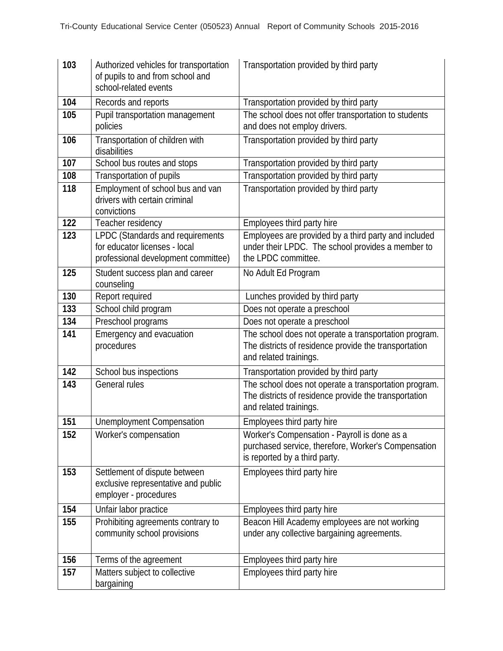| 103 | Authorized vehicles for transportation<br>of pupils to and from school and<br>school-related events      | Transportation provided by third party                                                                                                   |
|-----|----------------------------------------------------------------------------------------------------------|------------------------------------------------------------------------------------------------------------------------------------------|
| 104 | Records and reports                                                                                      | Transportation provided by third party                                                                                                   |
| 105 | Pupil transportation management<br>policies                                                              | The school does not offer transportation to students<br>and does not employ drivers.                                                     |
| 106 | Transportation of children with<br>disabilities                                                          | Transportation provided by third party                                                                                                   |
| 107 | School bus routes and stops                                                                              | Transportation provided by third party                                                                                                   |
| 108 | Transportation of pupils                                                                                 | Transportation provided by third party                                                                                                   |
| 118 | Employment of school bus and van<br>drivers with certain criminal<br>convictions                         | Transportation provided by third party                                                                                                   |
| 122 | Teacher residency                                                                                        | Employees third party hire                                                                                                               |
| 123 | LPDC (Standards and requirements<br>for educator licenses - local<br>professional development committee) | Employees are provided by a third party and included<br>under their LPDC. The school provides a member to<br>the LPDC committee.         |
| 125 | Student success plan and career<br>counseling                                                            | No Adult Ed Program                                                                                                                      |
| 130 | Report required                                                                                          | Lunches provided by third party                                                                                                          |
| 133 | School child program                                                                                     | Does not operate a preschool                                                                                                             |
| 134 | Preschool programs                                                                                       | Does not operate a preschool                                                                                                             |
| 141 | Emergency and evacuation<br>procedures                                                                   | The school does not operate a transportation program.<br>The districts of residence provide the transportation<br>and related trainings. |
| 142 | School bus inspections                                                                                   | Transportation provided by third party                                                                                                   |
| 143 | General rules                                                                                            | The school does not operate a transportation program.<br>The districts of residence provide the transportation<br>and related trainings. |
| 151 | <b>Unemployment Compensation</b>                                                                         | Employees third party hire                                                                                                               |
| 152 | Worker's compensation                                                                                    | Worker's Compensation - Payroll is done as a<br>purchased service, therefore, Worker's Compensation<br>is reported by a third party.     |
| 153 | Settlement of dispute between<br>exclusive representative and public<br>employer - procedures            | Employees third party hire                                                                                                               |
| 154 | Unfair labor practice                                                                                    | Employees third party hire                                                                                                               |
| 155 | Prohibiting agreements contrary to<br>community school provisions                                        | Beacon Hill Academy employees are not working<br>under any collective bargaining agreements.                                             |
| 156 | Terms of the agreement                                                                                   | Employees third party hire                                                                                                               |
| 157 | Matters subject to collective<br>bargaining                                                              | Employees third party hire                                                                                                               |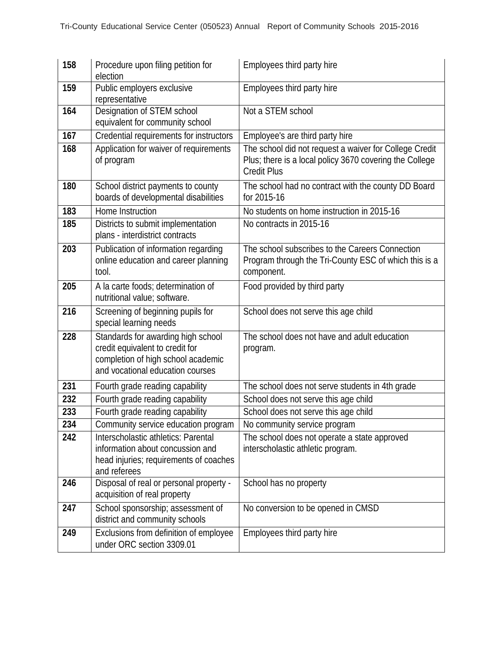| 158 | Procedure upon filing petition for<br>election                                                                                                  | Employees third party hire                                                                                                              |
|-----|-------------------------------------------------------------------------------------------------------------------------------------------------|-----------------------------------------------------------------------------------------------------------------------------------------|
| 159 | Public employers exclusive<br>representative                                                                                                    | Employees third party hire                                                                                                              |
| 164 | Designation of STEM school<br>equivalent for community school                                                                                   | Not a STEM school                                                                                                                       |
| 167 | Credential requirements for instructors                                                                                                         | Employee's are third party hire                                                                                                         |
| 168 | Application for waiver of requirements<br>of program                                                                                            | The school did not request a waiver for College Credit<br>Plus; there is a local policy 3670 covering the College<br><b>Credit Plus</b> |
| 180 | School district payments to county<br>boards of developmental disabilities                                                                      | The school had no contract with the county DD Board<br>for 2015-16                                                                      |
| 183 | Home Instruction                                                                                                                                | No students on home instruction in 2015-16                                                                                              |
| 185 | Districts to submit implementation<br>plans - interdistrict contracts                                                                           | No contracts in 2015-16                                                                                                                 |
| 203 | Publication of information regarding<br>online education and career planning<br>tool.                                                           | The school subscribes to the Careers Connection<br>Program through the Tri-County ESC of which this is a<br>component.                  |
| 205 | A la carte foods; determination of<br>nutritional value; software.                                                                              | Food provided by third party                                                                                                            |
| 216 | Screening of beginning pupils for<br>special learning needs                                                                                     | School does not serve this age child                                                                                                    |
| 228 | Standards for awarding high school<br>credit equivalent to credit for<br>completion of high school academic<br>and vocational education courses | The school does not have and adult education<br>program.                                                                                |
| 231 | Fourth grade reading capability                                                                                                                 | The school does not serve students in 4th grade                                                                                         |
| 232 | Fourth grade reading capability                                                                                                                 | School does not serve this age child                                                                                                    |
| 233 | Fourth grade reading capability                                                                                                                 | School does not serve this age child                                                                                                    |
| 234 | Community service education program                                                                                                             | No community service program                                                                                                            |
| 242 | Interscholastic athletics: Parental<br>information about concussion and<br>head injuries; requirements of coaches<br>and referees               | The school does not operate a state approved<br>interscholastic athletic program.                                                       |
| 246 | Disposal of real or personal property -<br>acquisition of real property                                                                         | School has no property                                                                                                                  |
| 247 | School sponsorship; assessment of<br>district and community schools                                                                             | No conversion to be opened in CMSD                                                                                                      |
| 249 | Exclusions from definition of employee<br>under ORC section 3309.01                                                                             | Employees third party hire                                                                                                              |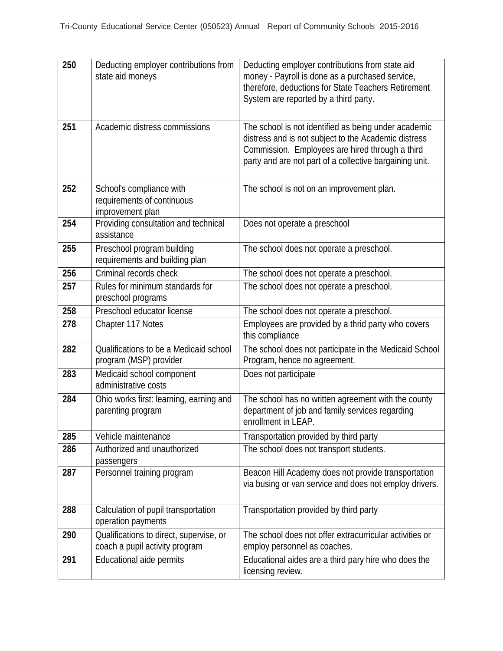| 250 | Deducting employer contributions from<br>state aid moneys                  | Deducting employer contributions from state aid<br>money - Payroll is done as a purchased service,<br>therefore, deductions for State Teachers Retirement<br>System are reported by a third party.                         |
|-----|----------------------------------------------------------------------------|----------------------------------------------------------------------------------------------------------------------------------------------------------------------------------------------------------------------------|
| 251 | Academic distress commissions                                              | The school is not identified as being under academic<br>distress and is not subject to the Academic distress<br>Commission. Employees are hired through a third<br>party and are not part of a collective bargaining unit. |
| 252 | School's compliance with<br>requirements of continuous<br>improvement plan | The school is not on an improvement plan.                                                                                                                                                                                  |
| 254 | Providing consultation and technical<br>assistance                         | Does not operate a preschool                                                                                                                                                                                               |
| 255 | Preschool program building<br>requirements and building plan               | The school does not operate a preschool.                                                                                                                                                                                   |
| 256 | Criminal records check                                                     | The school does not operate a preschool.                                                                                                                                                                                   |
| 257 | Rules for minimum standards for<br>preschool programs                      | The school does not operate a preschool.                                                                                                                                                                                   |
| 258 | Preschool educator license                                                 | The school does not operate a preschool.                                                                                                                                                                                   |
| 278 | Chapter 117 Notes                                                          | Employees are provided by a thrid party who covers<br>this compliance                                                                                                                                                      |
| 282 | Qualifications to be a Medicaid school<br>program (MSP) provider           | The school does not participate in the Medicaid School<br>Program, hence no agreement.                                                                                                                                     |
| 283 | Medicaid school component<br>administrative costs                          | Does not participate                                                                                                                                                                                                       |
| 284 | Ohio works first: learning, earning and<br>parenting program               | The school has no written agreement with the county<br>department of job and family services regarding<br>enrollment in LEAP.                                                                                              |
| 285 | Vehicle maintenance                                                        | Transportation provided by third party                                                                                                                                                                                     |
| 286 | Authorized and unauthorized<br>passengers                                  | The school does not transport students.                                                                                                                                                                                    |
| 287 | Personnel training program                                                 | Beacon Hill Academy does not provide transportation<br>via busing or van service and does not employ drivers.                                                                                                              |
| 288 | Calculation of pupil transportation<br>operation payments                  | Transportation provided by third party                                                                                                                                                                                     |
| 290 | Qualifications to direct, supervise, or<br>coach a pupil activity program  | The school does not offer extracurricular activities or<br>employ personnel as coaches.                                                                                                                                    |
| 291 | Educational aide permits                                                   | Educational aides are a third pary hire who does the<br>licensing review.                                                                                                                                                  |